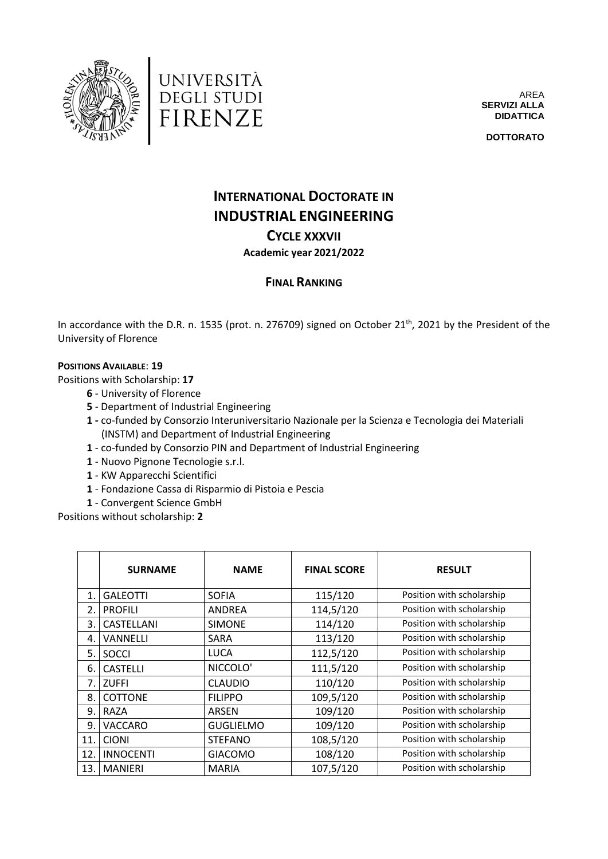



AREA **SERVIZI ALLA DIDATTICA**

**DOTTORATO**

## **INTERNATIONAL DOCTORATE IN INDUSTRIAL ENGINEERING**

## **CYCLE XXXVII Academic year 2021/2022**

## **FINAL RANKING**

In accordance with the D.R. n. 1535 (prot. n. 276709) signed on October 21<sup>th</sup>, 2021 by the President of the University of Florence

## **POSITIONS AVAILABLE**: **19**

Positions with Scholarship: **17**

- **6**  University of Florence
- **5**  Department of Industrial Engineering
- **1 -** co-funded by Consorzio Interuniversitario Nazionale per la Scienza e Tecnologia dei Materiali (INSTM) and Department of Industrial Engineering
- **1** co-funded by Consorzio PIN and Department of Industrial Engineering
- **1** Nuovo Pignone Tecnologie s.r.l.
- **1** KW Apparecchi Scientifici
- **1** Fondazione Cassa di Risparmio di Pistoia e Pescia
- **1** Convergent Science GmbH

Positions without scholarship: **2**

|                | <b>SURNAME</b>   | <b>NAME</b>      | <b>FINAL SCORE</b> | <b>RESULT</b>             |
|----------------|------------------|------------------|--------------------|---------------------------|
| $\mathbf{1}$ . | <b>GALEOTTI</b>  | <b>SOFIA</b>     | 115/120            | Position with scholarship |
| 2.             | <b>PROFILI</b>   | ANDREA           | 114,5/120          | Position with scholarship |
| 3.             | CASTELLANI       | <b>SIMONE</b>    | 114/120            | Position with scholarship |
| 4.             | VANNELLI         | <b>SARA</b>      | 113/120            | Position with scholarship |
| 5.             | <b>SOCCI</b>     | LUCA             | 112,5/120          | Position with scholarship |
| 6.             | <b>CASTELLI</b>  | NICCOLO'         | 111,5/120          | Position with scholarship |
| 7.             | <b>ZUFFI</b>     | <b>CLAUDIO</b>   | 110/120            | Position with scholarship |
| 8.             | COTTONE          | <b>FILIPPO</b>   | 109,5/120          | Position with scholarship |
| 9.             | RAZA             | ARSEN            | 109/120            | Position with scholarship |
| 9.             | VACCARO          | <b>GUGLIELMO</b> | 109/120            | Position with scholarship |
| 11.            | <b>CIONI</b>     | <b>STEFANO</b>   | 108,5/120          | Position with scholarship |
| 12.            | <b>INNOCENTI</b> | <b>GIACOMO</b>   | 108/120            | Position with scholarship |
| 13.            | <b>MANIERI</b>   | <b>MARIA</b>     | 107,5/120          | Position with scholarship |